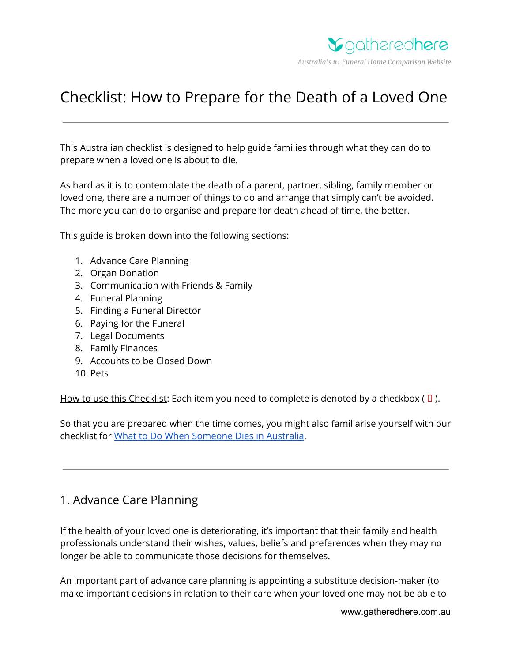

# Checklist: How to Prepare for the Death of a Loved One

This Australian checklist is designed to help guide families through what they can do to prepare when a loved one is about to die.

As hard as it is to contemplate the death of a parent, partner, sibling, family member or loved one, there are a number of things to do and arrange that simply can't be avoided. The more you can do to organise and prepare for death ahead of time, the better.

This guide is broken down into the following sections:

- 1. Advance Care Planning
- 2. Organ Donation
- 3. Communication with Friends & Family
- 4. Funeral Planning
- 5. Finding a Funeral Director
- 6. Paying for the Funeral
- 7. Legal Documents
- 8. Family Finances
- 9. Accounts to be Closed Down
- 10. Pets

How to use this Checklist: Each item you need to complete is denoted by a checkbox ( $\Box$ ).

So that you are prepared when the time comes, you might also familiarise yourself with our checklist for What to Do When [Someone](https://www.gatheredhere.com.au/what-to-do-when-someone-dies-australian-checklist/) Dies in Australia.

## 1. Advance Care Planning

If the health of your loved one is deteriorating, it's important that their family and health professionals understand their wishes, values, beliefs and preferences when they may no longer be able to communicate those decisions for themselves.

An important part of advance care planning is appointing a substitute decision-maker (to make important decisions in relation to their care when your loved one may not be able to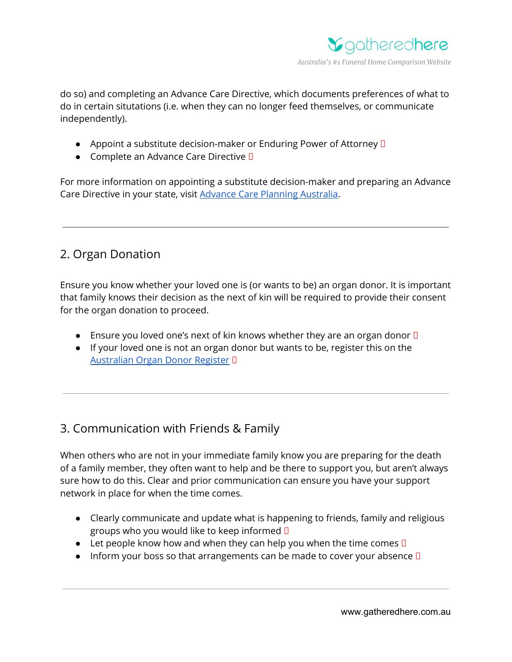

do so) and completing an Advance Care Directive, which documents preferences of what to do in certain situtations (i.e. when they can no longer feed themselves, or communicate independently).

- Appoint a substitute decision-maker or Enduring Power of Attorney **D**
- Complete an Advance Care Directive **D**

For more information on appointing a substitute decision-maker and preparing an Advance Care Directive in your state, visit Advance Care Planning [Australia](https://www.advancecareplanning.org.au/).

## 2. Organ Donation

Ensure you know whether your loved one is (or wants to be) an organ donor. It is important that family knows their decision as the next of kin will be required to provide their consent for the organ donation to proceed.

- **•** Ensure you loved one's next of kin knows whether they are an organ donor  $\square$
- If your loved one is not an organ donor but wants to be, register this on the [Australian](https://www.humanservices.gov.au/individuals/services/medicare/australian-organ-donor-register) Organ Donor Register

## 3. Communication with Friends & Family

When others who are not in your immediate family know you are preparing for the death of a family member, they often want to help and be there to support you, but aren't always sure how to do this. Clear and prior communication can ensure you have your support network in place for when the time comes.

- Clearly communicate and update what is happening to friends, family and religious groups who you would like to keep informed
- Let people know how and when they can help you when the time comes  $\square$
- Inform your boss so that arrangements can be made to cover your absence  $\square$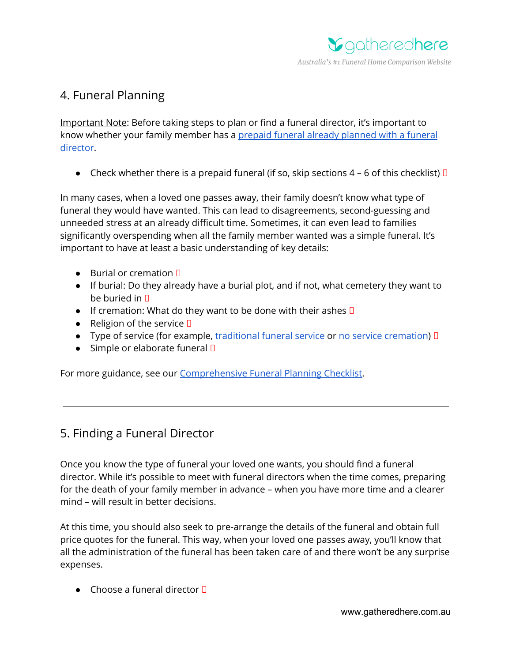

## 4. Funeral Planning

Important Note: Before taking steps to plan or find a funeral director, it's important to know whether your family member has a prepaid funeral already [planned](https://www.gatheredhere.com.au/prepaid-funeral-plans-complete-guide/) with a funeral [director](https://www.gatheredhere.com.au/prepaid-funeral-plans-complete-guide/).

• Check whether there is a prepaid funeral (if so, skip sections  $4 - 6$  of this checklist)  $\Box$ 

In many cases, when a loved one passes away, their family doesn't know what type of funeral they would have wanted. This can lead to disagreements, second-guessing and unneeded stress at an already difficult time. Sometimes, it can even lead to families significantly overspending when all the family member wanted was a simple funeral. It's important to have at least a basic understanding of key details:

- $\bullet$  Burial or cremation  $\Pi$
- If burial: Do they already have a burial plot, and if not, what cemetery they want to be buried in  $\Pi$
- If cremation: What do they want to be done with their ashes  $\square$
- Religion of the service  $\square$
- Type of service (for example, [traditional](https://www.gatheredhere.com.au/traditional-funerals-in-australia/) funeral service or no service [cremation](https://www.gatheredhere.com.au/cremations-only-funeral-directors-in-australia/)) I
- Simple or elaborate funeral  $\Box$

For more guidance, see our [Comprehensive](https://www.gatheredhere.com.au/funeral-planning-checklist-australia/) Funeral Planning Checklist.

## 5. Finding a Funeral Director

Once you know the type of funeral your loved one wants, you should find a funeral director. While it's possible to meet with funeral directors when the time comes, preparing for the death of your family member in advance – when you have more time and a clearer mind – will result in better decisions.

At this time, you should also seek to pre-arrange the details of the funeral and obtain full price quotes for the funeral. This way, when your loved one passes away, you'll know that all the administration of the funeral has been taken care of and there won't be any surprise expenses.

 $\bullet$  Choose a funeral director  $\Pi$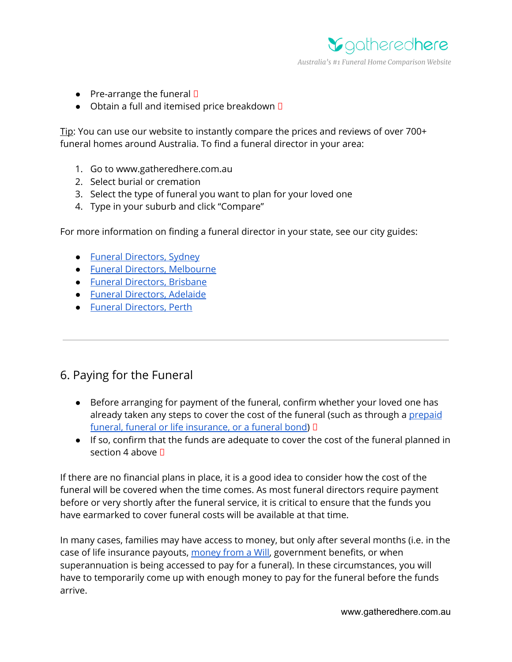

- Pre-arrange the funeral  $\Box$
- $\bullet$  Obtain a full and itemised price breakdown  $\square$

Tip: You can use our website to instantly compare the prices and reviews of over 700+ funeral homes around Australia. To find a funeral director in your area:

- 1. Go to www.gatheredhere.com.au
- 2. Select burial or cremation
- 3. Select the type of funeral you want to plan for your loved one
- 4. Type in your suburb and click "Compare"

For more information on finding a funeral director in your state, see our city guides:

- Funeral [Directors,](https://www.gatheredhere.com.au/funeral-directors-sydney-guide-lists/) Sydney
- Funeral Directors, [Melbourne](https://www.gatheredhere.com.au/funeral-directors-melbourne-guide-lists/)
- Funeral [Directors,](https://www.gatheredhere.com.au/funeral-directors-brisbane-guide-lists/) Brisbane
- Funeral [Directors,](https://www.gatheredhere.com.au/funeral-directors-adelaide-guide-lists/) Adelaide
- Funeral [Directors,](https://www.gatheredhere.com.au/funeral-directors-perth-guide-lists/) Perth

#### 6. Paying for the Funeral

- Before arranging for payment of the funeral, confirm whether your loved one has already taken any steps to cover the cost of the funeral (such as through a [prepaid](https://www.gatheredhere.com.au/prepaid-funerals-funeral-bonds-funeral-insurance-whats-difference-planning-options/) funeral, funeral or life [insurance,](https://www.gatheredhere.com.au/prepaid-funerals-funeral-bonds-funeral-insurance-whats-difference-planning-options/) or a funeral bond)  $\Box$
- If so, confirm that the funds are adequate to cover the cost of the funeral planned in section 4 above  $\P$

If there are no financial plans in place, it is a good idea to consider how the cost of the funeral will be covered when the time comes. As most funeral directors require payment before or very shortly after the funeral service, it is critical to ensure that the funds you have earmarked to cover funeral costs will be available at that time.

In many cases, families may have access to money, but only after several months (i.e. in the case of life insurance payouts, [money](https://www.gatheredhere.com.au/who-pays-for-a-funeral/) from a Will, government benefits, or when superannuation is being accessed to pay for a funeral). In these circumstances, you will have to temporarily come up with enough money to pay for the funeral before the funds arrive.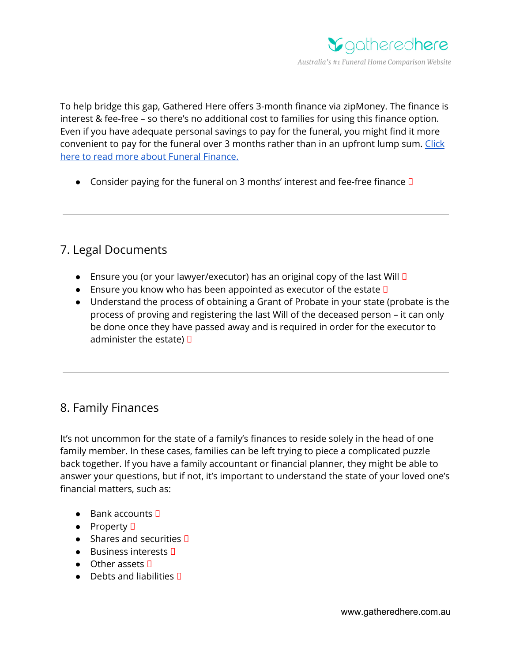

To help bridge this gap, Gathered Here offers 3-month finance via zipMoney. The finance is interest & fee-free – so there's no additional cost to families for using this finance option. Even if you have adequate personal savings to pay for the funeral, you might find it more convenient to pay for the funeral over 3 months rather than in an upfront lump sum. [Click](https://www.gatheredhere.com.au/funeral-finance/) here to read more about Funeral [Finance.](https://www.gatheredhere.com.au/funeral-finance/)

• Consider paying for the funeral on 3 months' interest and fee-free finance  $\square$ 

## 7. Legal Documents

- **•** Ensure you (or your lawyer/executor) has an original copy of the last Will  $\Box$
- **•** Ensure you know who has been appointed as executor of the estate  $\square$
- Understand the process of obtaining a Grant of Probate in your state (probate is the process of proving and registering the last Will of the deceased person – it can only be done once they have passed away and is required in order for the executor to administer the estate)  $\Box$

## 8. Family Finances

It's not uncommon for the state of a family's finances to reside solely in the head of one family member. In these cases, families can be left trying to piece a complicated puzzle back together. If you have a family accountant or financial planner, they might be able to answer your questions, but if not, it's important to understand the state of your loved one's financial matters, such as:

- $\bullet$  Bank accounts  $\square$
- $\bullet$  Property  $\Box$
- $\bullet$  Shares and securities  $\Box$
- $\bullet$  Business interests  $\square$
- $\bullet$  Other assets  $\square$
- $\bullet$  Debts and liabilities  $\P$